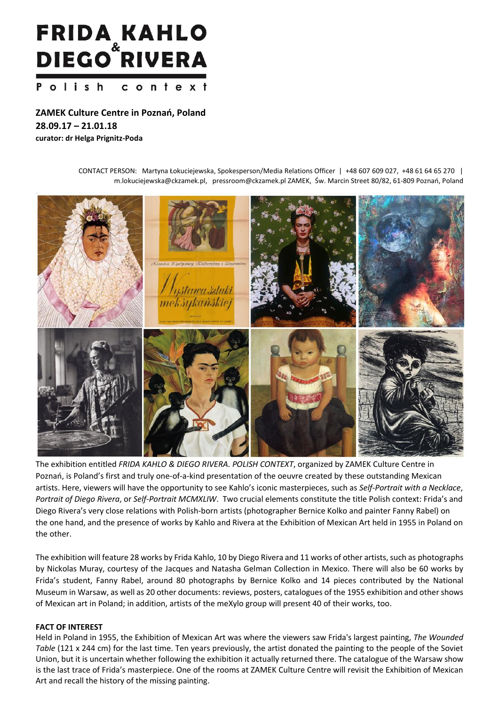# **FRIDA KAHLO<br>DIEGO RIVERA** Polish context

**ZAMEK Culture Centre in Poznań, Poland 28.09.17 – 21.01.18 curator: dr Helga Prignitz-Poda**

> CONTACT PERSON: Martyna Łokuciejewska, Spokesperson/Media Relations Officer | +48 607 609 027, +48 61 64 65 270 | m.lokuciejewska@ckzamek.pl, pressroom@ckzamek.pl ZAMEK, Św. Marcin Street 80/82, 61-809 Poznań, Poland



The exhibition entitled *FRIDA KAHLO & DIEGO RIVERA. POLISH CONTEXT*, organized by ZAMEK Culture Centre in Poznań, is Poland's first and truly one-of-a-kind presentation of the oeuvre created by these outstanding Mexican artists. Here, viewers will have the opportunity to see Kahlo's iconic masterpieces, such as *Self-Portrait with a Necklace*, *Portrait of Diego Rivera*, or *Self-Portrait MCMXLIW*. Two crucial elements constitute the title Polish context: Frida's and Diego Rivera's very close relations with Polish-born artists (photographer Bernice Kolko and painter Fanny Rabel) on the one hand, and the presence of works by Kahlo and Rivera at the Exhibition of Mexican Art held in 1955 in Poland on the other.

The exhibition will feature 28 works by Frida Kahlo, 10 by Diego Rivera and 11 works of other artists, such as photographs by Nickolas Muray, courtesy of the Jacques and Natasha Gelman Collection in Mexico. There will also be 60 works by Frida's student, Fanny Rabel, around 80 photographs by Bernice Kolko and 14 pieces contributed by the National Museum in Warsaw, as well as 20 other documents: reviews, posters, catalogues of the 1955 exhibition and other shows of Mexican art in Poland; in addition, artists of the meXylo group will present 40 of their works, too.

## **FACT OF INTEREST**

Held in Poland in 1955, the Exhibition of Mexican Art was where the viewers saw Frida's largest painting, *The Wounded Table* (121 x 244 cm) for the last time. Ten years previously, the artist donated the painting to the people of the Soviet Union, but it is uncertain whether following the exhibition it actually returned there. The catalogue of the Warsaw show is the last trace of Frida's masterpiece. One of the rooms at ZAMEK Culture Centre will revisit the Exhibition of Mexican Art and recall the history of the missing painting.